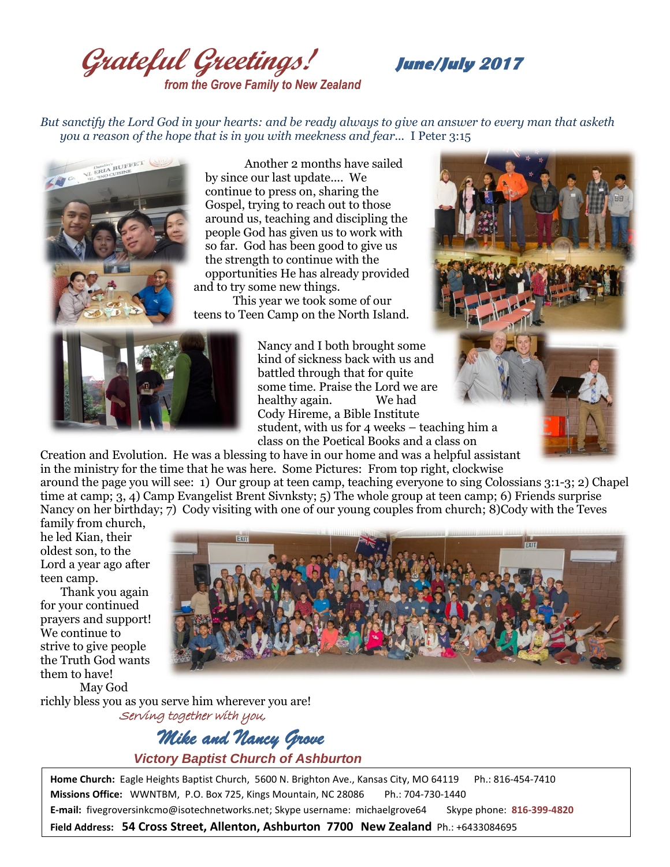**Grateful Greetings! June/July <sup>2017</sup>** *from the Grove Family to New Zealand*

*But sanctify the Lord God in your hearts: and be ready always to give an answer to every man that asketh you a reason of the hope that is in you with meekness and fear...* I Peter 3:15



Another 2 months have sailed by since our last update.... We continue to press on, sharing the Gospel, trying to reach out to those around us, teaching and discipling the people God has given us to work with so far. God has been good to give us the strength to continue with the opportunities He has already provided

and to try some new things.

This year we took some of our teens to Teen Camp on the North Island.



Nancy and I both brought some kind of sickness back with us and battled through that for quite some time. Praise the Lord we are healthy again. We had Cody Hireme, a Bible Institute student, with us for 4 weeks – teaching him a class on the Poetical Books and a class on

Creation and Evolution. He was a blessing to have in our home and was a helpful assistant in the ministry for the time that he was here. Some Pictures: From top right, clockwise around the page you will see: 1) Our group at teen camp, teaching everyone to sing Colossians 3:1-3; 2) Chapel time at camp; 3, 4) Camp Evangelist Brent Sivnksty; 5) The whole group at teen camp; 6) Friends surprise Nancy on her birthday; 7) Cody visiting with one of our young couples from church; 8)Cody with the Teves

family from church, he led Kian, their oldest son, to the Lord a year ago after teen camp.

 Thank you again for your continued prayers and support! We continue to strive to give people the Truth God wants them to have! May God



richly bless you as you serve him wherever you are! Serving together with you,

> *Mike and Nancy Grove Victory Baptist Church of Ashburton*

**Home Church:** Eagle Heights Baptist Church, 5600 N. Brighton Ave., Kansas City, MO 64119 Ph.: 816-454-7410 **Missions Office:** WWNTBM, P.O. Box 725, Kings Mountain, NC 28086 Ph.: 704-730-1440 **E-mail:** fivegroversinkcmo@isotechnetworks.net; Skype username: michaelgrove64 Skype phone: **816-399-4820**

**Field Address: 54 Cross Street, Allenton, Ashburton 7700 New Zealand** Ph.: +6433084695